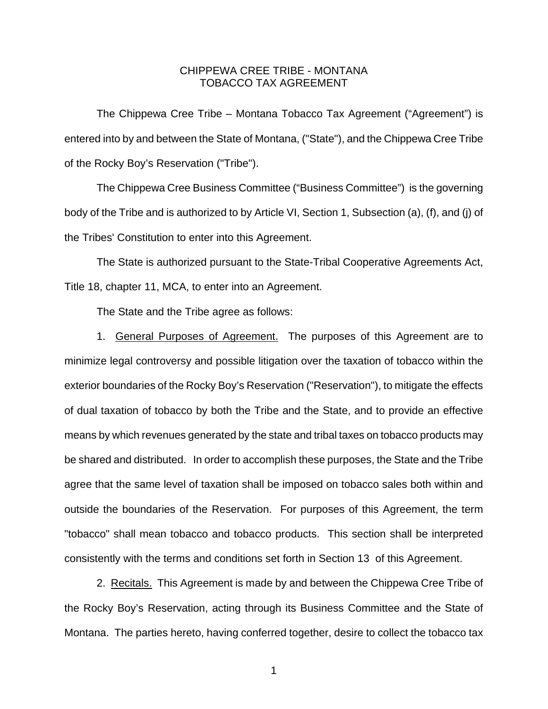## CHIPPEWA CREE TRIBE - MONTANA TOBACCO TAX AGREEMENT

 The Chippewa Cree Tribe – Montana Tobacco Tax Agreement ("Agreement") is entered into by and between the State of Montana, ("State"), and the Chippewa Cree Tribe of the Rocky Boy's Reservation ("Tribe").

 The Chippewa Cree Business Committee ("Business Committee") is the governing body of the Tribe and is authorized to by Article VI, Section 1, Subsection (a), (f), and (j) of the Tribes' Constitution to enter into this Agreement.

 The State is authorized pursuant to the State-Tribal Cooperative Agreements Act, Title 18, chapter 11, MCA, to enter into an Agreement.

The State and the Tribe agree as follows:

 1. General Purposes of Agreement. The purposes of this Agreement are to minimize legal controversy and possible litigation over the taxation of tobacco within the exterior boundaries of the Rocky Boy's Reservation ("Reservation"), to mitigate the effects of dual taxation of tobacco by both the Tribe and the State, and to provide an effective means by which revenues generated by the state and tribal taxes on tobacco products may be shared and distributed. In order to accomplish these purposes, the State and the Tribe agree that the same level of taxation shall be imposed on tobacco sales both within and outside the boundaries of the Reservation. For purposes of this Agreement, the term "tobacco" shall mean tobacco and tobacco products. This section shall be interpreted consistently with the terms and conditions set forth in Section 13 of this Agreement.

 2. Recitals. This Agreement is made by and between the Chippewa Cree Tribe of the Rocky Boy's Reservation, acting through its Business Committee and the State of Montana. The parties hereto, having conferred together, desire to collect the tobacco tax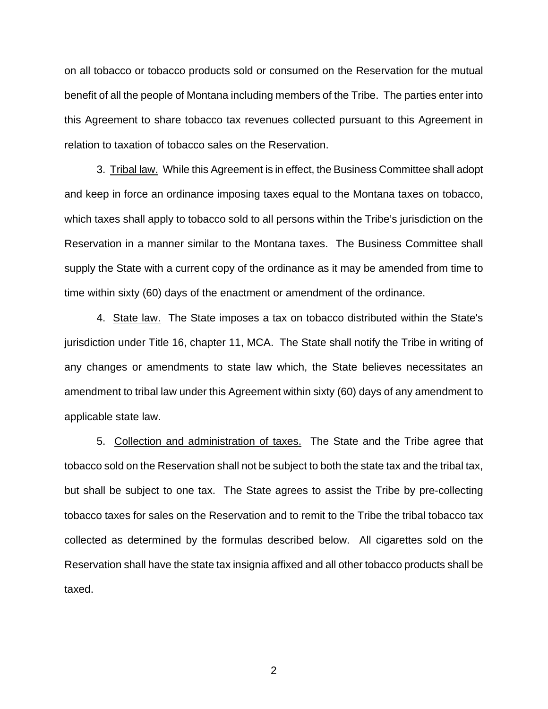on all tobacco or tobacco products sold or consumed on the Reservation for the mutual benefit of all the people of Montana including members of the Tribe. The parties enter into this Agreement to share tobacco tax revenues collected pursuant to this Agreement in relation to taxation of tobacco sales on the Reservation.

 3. Tribal law. While this Agreement is in effect, the Business Committee shall adopt and keep in force an ordinance imposing taxes equal to the Montana taxes on tobacco, which taxes shall apply to tobacco sold to all persons within the Tribe's jurisdiction on the Reservation in a manner similar to the Montana taxes. The Business Committee shall supply the State with a current copy of the ordinance as it may be amended from time to time within sixty (60) days of the enactment or amendment of the ordinance.

 4. State law. The State imposes a tax on tobacco distributed within the State's jurisdiction under Title 16, chapter 11, MCA. The State shall notify the Tribe in writing of any changes or amendments to state law which, the State believes necessitates an amendment to tribal law under this Agreement within sixty (60) days of any amendment to applicable state law.

5. Collection and administration of taxes. The State and the Tribe agree that tobacco sold on the Reservation shall not be subject to both the state tax and the tribal tax, but shall be subject to one tax. The State agrees to assist the Tribe by pre-collecting tobacco taxes for sales on the Reservation and to remit to the Tribe the tribal tobacco tax collected as determined by the formulas described below. All cigarettes sold on the Reservation shall have the state tax insignia affixed and all other tobacco products shall be taxed.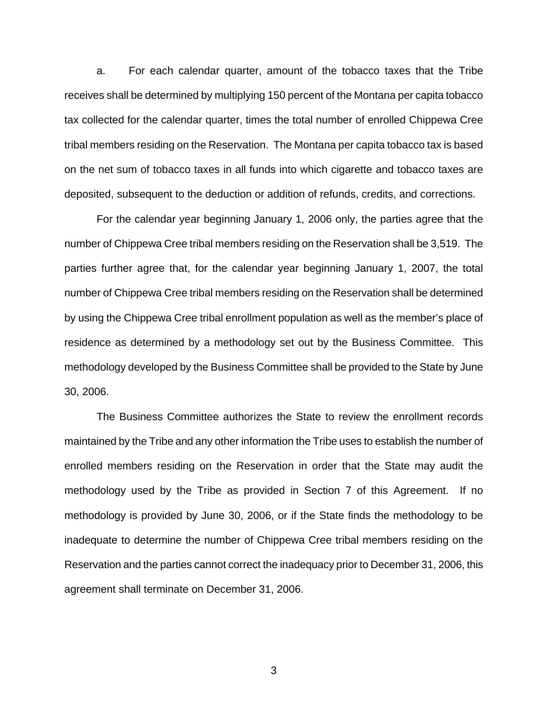a. For each calendar quarter, amount of the tobacco taxes that the Tribe receives shall be determined by multiplying 150 percent of the Montana per capita tobacco tax collected for the calendar quarter, times the total number of enrolled Chippewa Cree tribal members residing on the Reservation. The Montana per capita tobacco tax is based on the net sum of tobacco taxes in all funds into which cigarette and tobacco taxes are deposited, subsequent to the deduction or addition of refunds, credits, and corrections.

 For the calendar year beginning January 1, 2006 only, the parties agree that the number of Chippewa Cree tribal members residing on the Reservation shall be 3,519. The parties further agree that, for the calendar year beginning January 1, 2007, the total number of Chippewa Cree tribal members residing on the Reservation shall be determined by using the Chippewa Cree tribal enrollment population as well as the member's place of residence as determined by a methodology set out by the Business Committee. This methodology developed by the Business Committee shall be provided to the State by June 30, 2006.

 The Business Committee authorizes the State to review the enrollment records maintained by the Tribe and any other information the Tribe uses to establish the number of enrolled members residing on the Reservation in order that the State may audit the methodology used by the Tribe as provided in Section 7 of this Agreement. If no methodology is provided by June 30, 2006, or if the State finds the methodology to be inadequate to determine the number of Chippewa Cree tribal members residing on the Reservation and the parties cannot correct the inadequacy prior to December 31, 2006, this agreement shall terminate on December 31, 2006.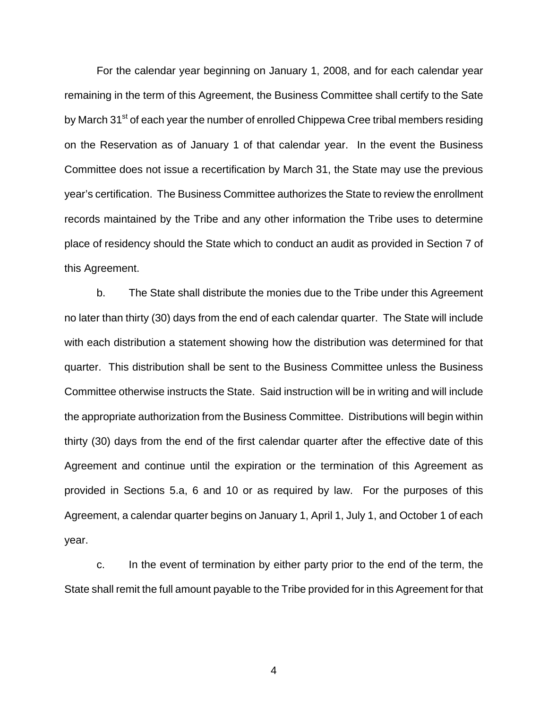For the calendar year beginning on January 1, 2008, and for each calendar year remaining in the term of this Agreement, the Business Committee shall certify to the Sate by March 31<sup>st</sup> of each year the number of enrolled Chippewa Cree tribal members residing on the Reservation as of January 1 of that calendar year. In the event the Business Committee does not issue a recertification by March 31, the State may use the previous year's certification. The Business Committee authorizes the State to review the enrollment records maintained by the Tribe and any other information the Tribe uses to determine place of residency should the State which to conduct an audit as provided in Section 7 of this Agreement.

 b. The State shall distribute the monies due to the Tribe under this Agreement no later than thirty (30) days from the end of each calendar quarter. The State will include with each distribution a statement showing how the distribution was determined for that quarter. This distribution shall be sent to the Business Committee unless the Business Committee otherwise instructs the State. Said instruction will be in writing and will include the appropriate authorization from the Business Committee. Distributions will begin within thirty (30) days from the end of the first calendar quarter after the effective date of this Agreement and continue until the expiration or the termination of this Agreement as provided in Sections 5.a, 6 and 10 or as required by law. For the purposes of this Agreement, a calendar quarter begins on January 1, April 1, July 1, and October 1 of each year.

 c. In the event of termination by either party prior to the end of the term, the State shall remit the full amount payable to the Tribe provided for in this Agreement for that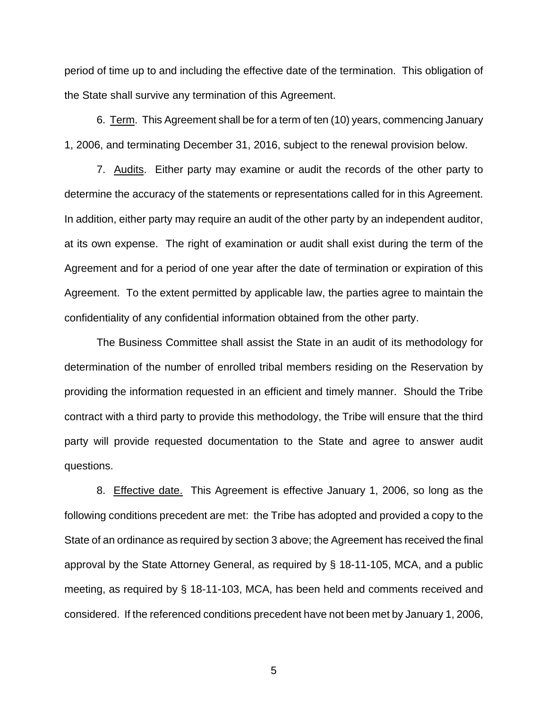period of time up to and including the effective date of the termination. This obligation of the State shall survive any termination of this Agreement.

 6. Term. This Agreement shall be for a term of ten (10) years, commencing January 1, 2006, and terminating December 31, 2016, subject to the renewal provision below.

 7. Audits. Either party may examine or audit the records of the other party to determine the accuracy of the statements or representations called for in this Agreement. In addition, either party may require an audit of the other party by an independent auditor, at its own expense. The right of examination or audit shall exist during the term of the Agreement and for a period of one year after the date of termination or expiration of this Agreement. To the extent permitted by applicable law, the parties agree to maintain the confidentiality of any confidential information obtained from the other party.

 The Business Committee shall assist the State in an audit of its methodology for determination of the number of enrolled tribal members residing on the Reservation by providing the information requested in an efficient and timely manner. Should the Tribe contract with a third party to provide this methodology, the Tribe will ensure that the third party will provide requested documentation to the State and agree to answer audit questions.

 8. Effective date. This Agreement is effective January 1, 2006, so long as the following conditions precedent are met: the Tribe has adopted and provided a copy to the State of an ordinance as required by section 3 above; the Agreement has received the final approval by the State Attorney General, as required by § 18-11-105, MCA, and a public meeting, as required by § 18-11-103, MCA, has been held and comments received and considered. If the referenced conditions precedent have not been met by January 1, 2006,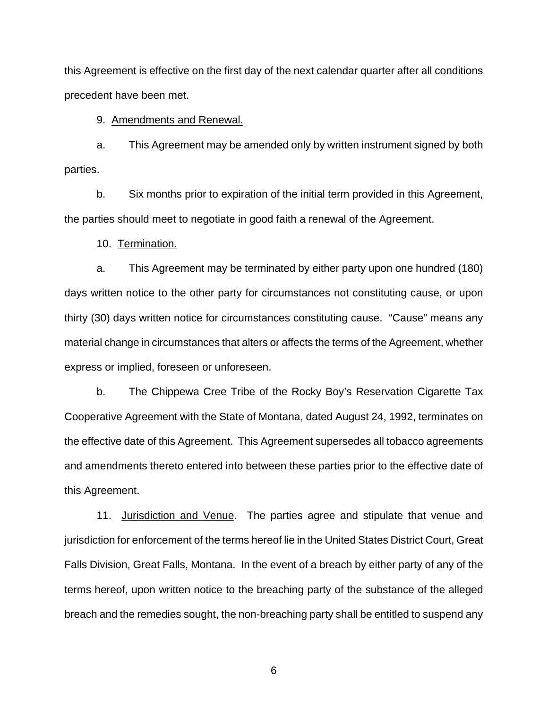this Agreement is effective on the first day of the next calendar quarter after all conditions precedent have been met.

9. Amendments and Renewal.

a. This Agreement may be amended only by written instrument signed by both parties.

b. Six months prior to expiration of the initial term provided in this Agreement, the parties should meet to negotiate in good faith a renewal of the Agreement.

10. Termination.

 a. This Agreement may be terminated by either party upon one hundred (180) days written notice to the other party for circumstances not constituting cause, or upon thirty (30) days written notice for circumstances constituting cause. "Cause" means any material change in circumstances that alters or affects the terms of the Agreement, whether express or implied, foreseen or unforeseen.

 b. The Chippewa Cree Tribe of the Rocky Boy's Reservation Cigarette Tax Cooperative Agreement with the State of Montana, dated August 24, 1992, terminates on the effective date of this Agreement. This Agreement supersedes all tobacco agreements and amendments thereto entered into between these parties prior to the effective date of this Agreement.

11. Jurisdiction and Venue. The parties agree and stipulate that venue and jurisdiction for enforcement of the terms hereof lie in the United States District Court, Great Falls Division, Great Falls, Montana. In the event of a breach by either party of any of the terms hereof, upon written notice to the breaching party of the substance of the alleged breach and the remedies sought, the non-breaching party shall be entitled to suspend any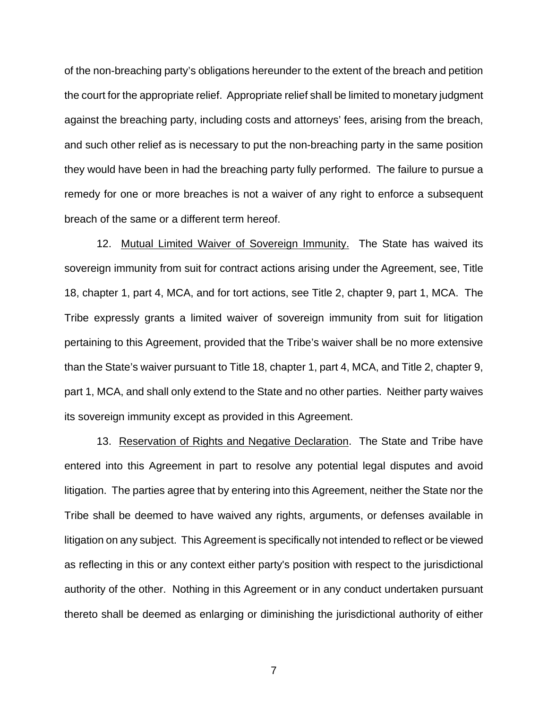of the non-breaching party's obligations hereunder to the extent of the breach and petition the court for the appropriate relief. Appropriate relief shall be limited to monetary judgment against the breaching party, including costs and attorneys' fees, arising from the breach, and such other relief as is necessary to put the non-breaching party in the same position they would have been in had the breaching party fully performed. The failure to pursue a remedy for one or more breaches is not a waiver of any right to enforce a subsequent breach of the same or a different term hereof.

 12. Mutual Limited Waiver of Sovereign Immunity. The State has waived its sovereign immunity from suit for contract actions arising under the Agreement, see, Title 18, chapter 1, part 4, MCA, and for tort actions, see Title 2, chapter 9, part 1, MCA. The Tribe expressly grants a limited waiver of sovereign immunity from suit for litigation pertaining to this Agreement, provided that the Tribe's waiver shall be no more extensive than the State's waiver pursuant to Title 18, chapter 1, part 4, MCA, and Title 2, chapter 9, part 1, MCA, and shall only extend to the State and no other parties. Neither party waives its sovereign immunity except as provided in this Agreement.

 13. Reservation of Rights and Negative Declaration. The State and Tribe have entered into this Agreement in part to resolve any potential legal disputes and avoid litigation. The parties agree that by entering into this Agreement, neither the State nor the Tribe shall be deemed to have waived any rights, arguments, or defenses available in litigation on any subject. This Agreement is specifically not intended to reflect or be viewed as reflecting in this or any context either party's position with respect to the jurisdictional authority of the other. Nothing in this Agreement or in any conduct undertaken pursuant thereto shall be deemed as enlarging or diminishing the jurisdictional authority of either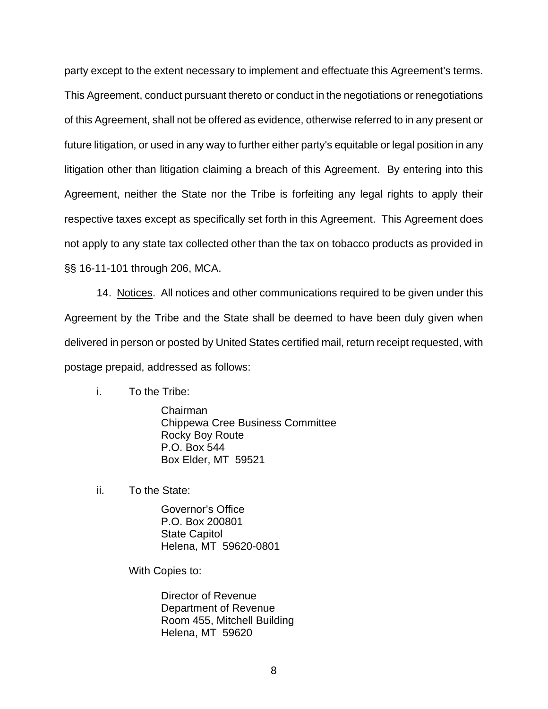party except to the extent necessary to implement and effectuate this Agreement's terms. This Agreement, conduct pursuant thereto or conduct in the negotiations or renegotiations of this Agreement, shall not be offered as evidence, otherwise referred to in any present or future litigation, or used in any way to further either party's equitable or legal position in any litigation other than litigation claiming a breach of this Agreement. By entering into this Agreement, neither the State nor the Tribe is forfeiting any legal rights to apply their respective taxes except as specifically set forth in this Agreement. This Agreement does not apply to any state tax collected other than the tax on tobacco products as provided in §§ 16-11-101 through 206, MCA.

14. Notices. All notices and other communications required to be given under this Agreement by the Tribe and the State shall be deemed to have been duly given when delivered in person or posted by United States certified mail, return receipt requested, with postage prepaid, addressed as follows:

i. To the Tribe:

 Chairman Chippewa Cree Business Committee Rocky Boy Route P.O. Box 544 Box Elder, MT 59521

ii. To the State:

 Governor's Office P.O. Box 200801 State Capitol Helena, MT 59620-0801

With Copies to:

 Director of Revenue Department of Revenue Room 455, Mitchell Building Helena, MT 59620